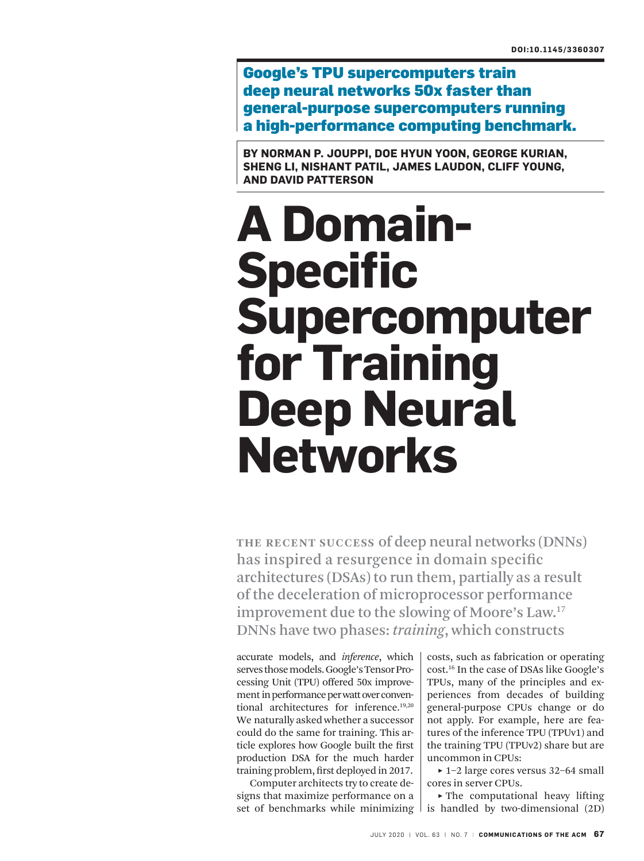Google's TPU supercomputers train deep neural networks 50x faster than general-purpose supercomputers running a high-performance computing benchmark.

**BY NORMAN P. JOUPPI, DOE HYUN YOON, GEORGE KURIAN, SHENG LI, NISHANT PATIL, JAMES LAUDON, CLIFF YOUNG, AND DAVID PATTERSON**

# **A Domain-Specific Supercomputer for Training Deep Neural Networks**

**THE RECENT SUCCESS** of deep neural networks (DNNs) has inspired a resurgence in domain specific architectures (DSAs) to run them, partially as a result of the deceleration of microprocessor performance improvement due to the slowing of Moore's Law.<sup>17</sup> DNNs have two phases: *training*, which constructs

accurate models, and *inference*, which serves those models. Google's Tensor Processing Unit (TPU) offered 50x improvement in performance per watt over conventional architectures for inference.19,20 We naturally asked whether a successor could do the same for training. This article explores how Google built the first production DSA for the much harder training problem, first deployed in 2017.

Computer architects try to create designs that maximize performance on a set of benchmarks while minimizing  $\vert$  is handled by two-dimensional (2D)

costs, such as fabrication or operating cost.<sup>16</sup> In the case of DSAs like Google's TPUs, many of the principles and experiences from decades of building general-purpose CPUs change or do not apply. For example, here are features of the inference TPU (TPUv1) and the training TPU (TPUv2) share but are uncommon in CPUs:

 **˲** 1–2 large cores versus 32–64 small cores in server CPUs.

▶ The computational heavy lifting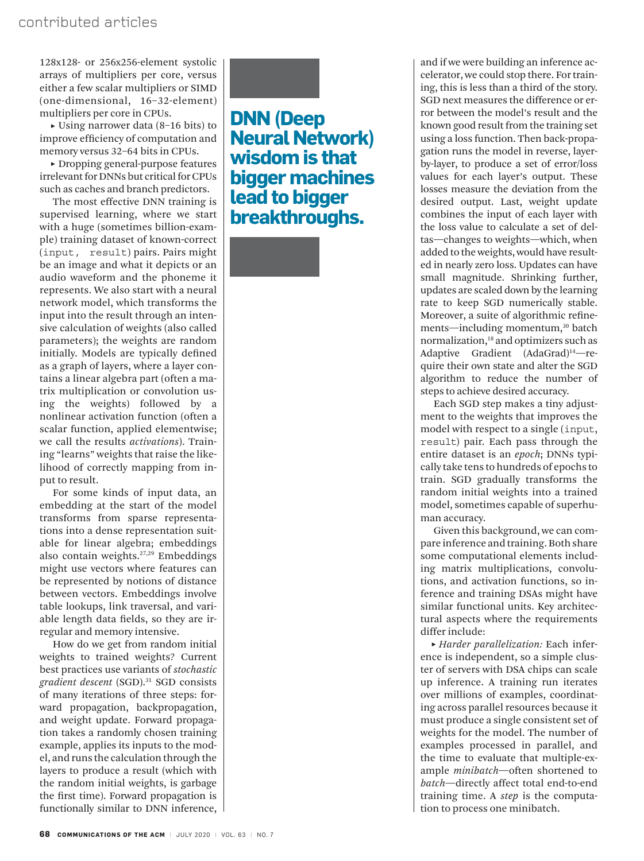128x128- or 256x256-element systolic arrays of multipliers per core, versus either a few scalar multipliers or SIMD (one-dimensional, 16–32-element) multipliers per core in CPUs.

 **˲** Using narrower data (8–16 bits) to improve efficiency of computation and memory versus 32–64 bits in CPUs.

 **˲** Dropping general-purpose features irrelevant for DNNs but critical for CPUs such as caches and branch predictors.

The most effective DNN training is supervised learning, where we start with a huge (sometimes billion-example) training dataset of known-correct (input, result) pairs. Pairs might be an image and what it depicts or an audio waveform and the phoneme it represents. We also start with a neural network model, which transforms the input into the result through an intensive calculation of weights (also called parameters); the weights are random initially. Models are typically defined as a graph of layers, where a layer contains a linear algebra part (often a matrix multiplication or convolution using the weights) followed by a nonlinear activation function (often a scalar function, applied elementwise; we call the results *activations*). Training "learns" weights that raise the likelihood of correctly mapping from input to result.

For some kinds of input data, an embedding at the start of the model transforms from sparse representations into a dense representation suitable for linear algebra; embeddings also contain weights.27,29 Embeddings might use vectors where features can be represented by notions of distance between vectors. Embeddings involve table lookups, link traversal, and variable length data fields, so they are irregular and memory intensive.

How do we get from random initial weights to trained weights? Current best practices use variants of *stochastic gradient descent* (SGD).<sup>31</sup> SGD consists of many iterations of three steps: forward propagation, backpropagation, and weight update. Forward propagation takes a randomly chosen training example, applies its inputs to the model, and runs the calculation through the layers to produce a result (which with the random initial weights, is garbage the first time). Forward propagation is functionally similar to DNN inference,

## **DNN (Deep Neural Network) wisdom is that bigger machines lead to bigger breakthroughs.**

and if we were building an inference accelerator, we could stop there. For training, this is less than a third of the story. SGD next measures the difference or error between the model's result and the known good result from the training set using a loss function. Then back-propagation runs the model in reverse, layerby-layer, to produce a set of error/loss values for each layer's output. These losses measure the deviation from the desired output. Last, weight update combines the input of each layer with the loss value to calculate a set of deltas—changes to weights—which, when added to the weights, would have resulted in nearly zero loss. Updates can have small magnitude. Shrinking further, updates are scaled down by the learning rate to keep SGD numerically stable. Moreover, a suite of algorithmic refinements—including momentum,<sup>30</sup> batch normalization,<sup>18</sup> and optimizers such as Adaptive Gradient (AdaGrad)<sup>14</sup>-require their own state and alter the SGD algorithm to reduce the number of steps to achieve desired accuracy.

Each SGD step makes a tiny adjustment to the weights that improves the model with respect to a single (input, result) pair. Each pass through the entire dataset is an *epoch*; DNNs typically take tens to hundreds of epochs to train. SGD gradually transforms the random initial weights into a trained model, sometimes capable of superhuman accuracy.

Given this background, we can compare inference and training. Both share some computational elements including matrix multiplications, convolutions, and activation functions, so inference and training DSAs might have similar functional units. Key architectural aspects where the requirements differ include:

 **˲** *Harder parallelization:* Each inference is independent, so a simple cluster of servers with DSA chips can scale up inference. A training run iterates over millions of examples, coordinating across parallel resources because it must produce a single consistent set of weights for the model. The number of examples processed in parallel, and the time to evaluate that multiple-example *minibatch*—often shortened to *batch*—directly affect total end-to-end training time. A *step* is the computation to process one minibatch.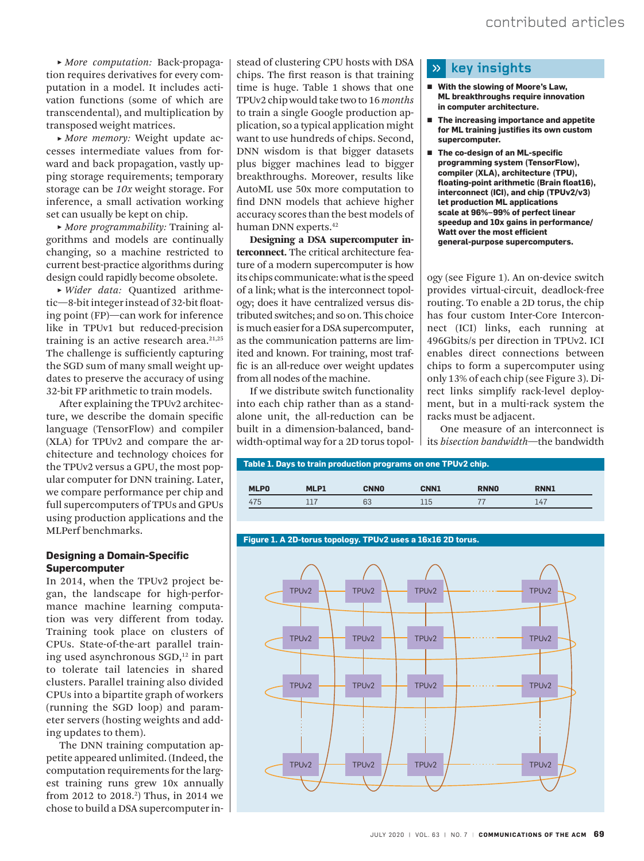**˲** *More computation:* Back-propagation requires derivatives for every computation in a model. It includes activation functions (some of which are transcendental), and multiplication by transposed weight matrices.

 **˲** *More memory:* Weight update accesses intermediate values from forward and back propagation, vastly upping storage requirements; temporary storage can be *10x* weight storage. For inference, a small activation working set can usually be kept on chip.

 **˲** *More programmability:* Training algorithms and models are continually changing, so a machine restricted to current best-practice algorithms during design could rapidly become obsolete.

 **˲** *Wider data:* Quantized arithmetic—8-bit integer instead of 32-bit floating point (FP)—can work for inference like in TPUv1 but reduced-precision training is an active research area. $21,25$ The challenge is sufficiently capturing the SGD sum of many small weight updates to preserve the accuracy of using 32-bit FP arithmetic to train models.

After explaining the TPUv2 architecture, we describe the domain specific language (TensorFlow) and compiler (XLA) for TPUv2 and compare the architecture and technology choices for the TPUv2 versus a GPU, the most popular computer for DNN training. Later, we compare performance per chip and full supercomputers of TPUs and GPUs using production applications and the MLPerf benchmarks.

## **Designing a Domain-Specific Supercomputer**

In 2014, when the TPUv2 project began, the landscape for high-performance machine learning computation was very different from today. Training took place on clusters of CPUs. State-of-the-art parallel training used asynchronous SGD,<sup>12</sup> in part to tolerate tail latencies in shared clusters. Parallel training also divided CPUs into a bipartite graph of workers (running the SGD loop) and parameter servers (hosting weights and adding updates to them).

The DNN training computation appetite appeared unlimited. (Indeed, the computation requirements for the largest training runs grew 10x annually from 2012 to 2018.<sup>2</sup>) Thus, in 2014 we chose to build a DSA supercomputer in-

stead of clustering CPU hosts with DSA chips. The first reason is that training time is huge. Table 1 shows that one TPUv2 chip would take two to 16 *months* to train a single Google production application, so a typical application might want to use hundreds of chips. Second, DNN wisdom is that bigger datasets plus bigger machines lead to bigger breakthroughs. Moreover, results like AutoML use 50x more computation to find DNN models that achieve higher accuracy scores than the best models of human DNN experts.<sup>42</sup>

Designing a DSA supercomputer interconnect. The critical architecture feature of a modern supercomputer is how its chips communicate: what is the speed of a link; what is the interconnect topology; does it have centralized versus distributed switches; and so on. This choice is much easier for a DSA supercomputer, as the communication patterns are limited and known. For training, most traffic is an all-reduce over weight updates from all nodes of the machine.

If we distribute switch functionality into each chip rather than as a standalone unit, the all-reduction can be built in a dimension-balanced, bandwidth-optimal way for a 2D torus topol-

#### $\mathcal{D}$  **key insights**

- With the slowing of Moore's Law, **ML breakthroughs require innovation in computer architecture.**
- The increasing importance and appetite **for ML training justifies its own custom supercomputer.**
- **˽ The co-design of an ML-specific programming system (TensorFlow), compiler (XLA), architecture (TPU), floating-point arithmetic (Brain float16), interconnect (ICI), and chip (TPUv2/v3) let production ML applications scale at 96%–99% of perfect linear speedup and 10x gains in performance/ Watt over the most efficient general-purpose supercomputers.**

ogy (see Figure 1). An on-device switch provides virtual-circuit, deadlock-free routing. To enable a 2D torus, the chip has four custom Inter-Core Interconnect (ICI) links, each running at 496Gbits/s per direction in TPUv2. ICI enables direct connections between chips to form a supercomputer using only 13% of each chip (see Figure 3). Direct links simplify rack-level deployment, but in a multi-rack system the racks must be adjacent.

One measure of an interconnect is its *bisection bandwidth*—the bandwidth

| Table 1. Days to train production programs on one TPUv2 chip. |      |             |             |             |             |  |  |  |
|---------------------------------------------------------------|------|-------------|-------------|-------------|-------------|--|--|--|
| <b>MLPO</b>                                                   | MLP1 | <b>CNNO</b> | <b>CNN1</b> | <b>RNNO</b> | <b>RNN1</b> |  |  |  |
| 475                                                           | 117  | 63          | 115         |             | 147         |  |  |  |

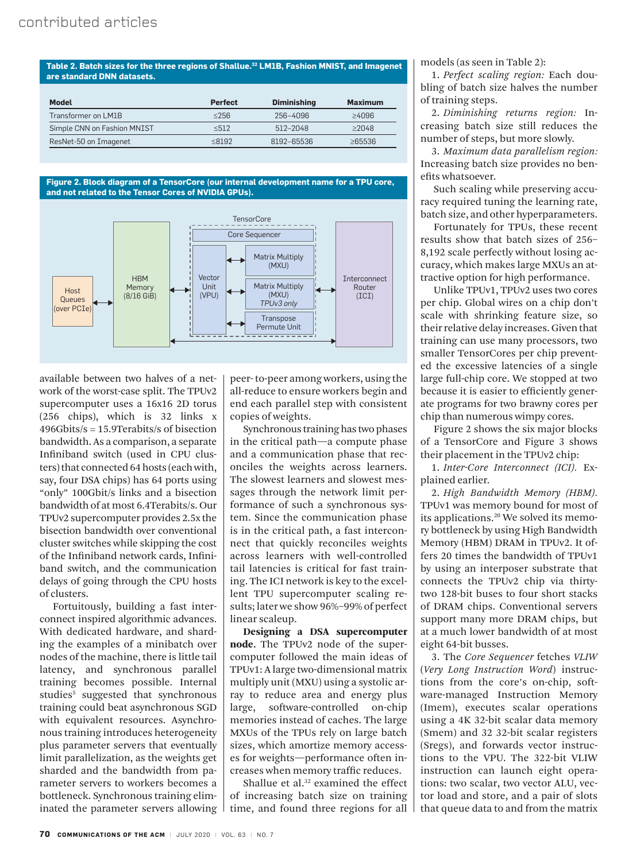**Table 2. Batch sizes for the three regions of Shallue.<sup>32</sup> LM1B, Fashion MNIST, and Imagenet are standard DNN datasets.**

| <b>Model</b>                | <b>Perfect</b> | <b>Diminishing</b> | <b>Maximum</b> |
|-----------------------------|----------------|--------------------|----------------|
| Transformer on LM1B         | $\leq$ 256     | 256-4096           | >4096          |
| Simple CNN on Fashion MNIST | < 512          | 512-2048           | $\geq$ 2048    |
| ResNet-50 on Imagenet       | < 8192         | 8192-65536         | $\geq$ 65536   |
|                             |                |                    |                |

**Figure 2. Block diagram of a TensorCore (our internal development name for a TPU core, and not related to the Tensor Cores of NVIDIA GPUs).**



available between two halves of a network of the worst-case split. The TPUv2 supercomputer uses a 16x16 2D torus (256 chips), which is 32 links x 496Gbits/s = 15.9Terabits/s of bisection bandwidth. As a comparison, a separate Infiniband switch (used in CPU clusters) that connected 64 hosts (each with, say, four DSA chips) has 64 ports using "only" 100Gbit/s links and a bisection bandwidth of at most 6.4Terabits/s. Our TPUv2 supercomputer provides 2.5x the bisection bandwidth over conventional cluster switches while skipping the cost of the Infiniband network cards, Infiniband switch, and the communication delays of going through the CPU hosts of clusters.

Fortuitously, building a fast interconnect inspired algorithmic advances. With dedicated hardware, and sharding the examples of a minibatch over nodes of the machine, there is little tail latency, and synchronous parallel training becomes possible. Internal studies<sup>5</sup> suggested that synchronous training could beat asynchronous SGD with equivalent resources. Asynchronous training introduces heterogeneity plus parameter servers that eventually limit parallelization, as the weights get sharded and the bandwidth from parameter servers to workers becomes a bottleneck. Synchronous training eliminated the parameter servers allowing peer- to-peer among workers, using the all-reduce to ensure workers begin and end each parallel step with consistent copies of weights.

Synchronous training has two phases in the critical path—a compute phase and a communication phase that reconciles the weights across learners. The slowest learners and slowest messages through the network limit performance of such a synchronous system. Since the communication phase is in the critical path, a fast interconnect that quickly reconciles weights across learners with well-controlled tail latencies is critical for fast training. The ICI network is key to the excellent TPU supercomputer scaling results; later we show 96%–99% of perfect linear scaleup.

Designing a DSA supercomputer node. The TPUv2 node of the supercomputer followed the main ideas of TPUv1: A large two-dimensional matrix multiply unit (MXU) using a systolic array to reduce area and energy plus large, software-controlled on-chip memories instead of caches. The large MXUs of the TPUs rely on large batch sizes, which amortize memory accesses for weights—performance often increases when memory traffic reduces.

Shallue et al.<sup>32</sup> examined the effect of increasing batch size on training time, and found three regions for all models (as seen in Table 2):

1. *Perfect scaling region:* Each doubling of batch size halves the number of training steps.

2. *Diminishing returns region:* Increasing batch size still reduces the number of steps, but more slowly.

3. *Maximum data parallelism region:* Increasing batch size provides no benefits whatsoever.

Such scaling while preserving accuracy required tuning the learning rate, batch size, and other hyperparameters.

Fortunately for TPUs, these recent results show that batch sizes of 256– 8,192 scale perfectly without losing accuracy, which makes large MXUs an attractive option for high performance.

Unlike TPUv1, TPUv2 uses two cores per chip. Global wires on a chip don't scale with shrinking feature size, so their relative delay increases. Given that training can use many processors, two smaller TensorCores per chip prevented the excessive latencies of a single large full-chip core. We stopped at two because it is easier to efficiently generate programs for two brawny cores per chip than numerous wimpy cores.

Figure 2 shows the six major blocks of a TensorCore and Figure 3 shows their placement in the TPUv2 chip:

1. *Inter-Core Interconnect (ICI).* Explained earlier.

2. *High Bandwidth Memory (HBM).*  TPUv1 was memory bound for most of its applications.<sup>20</sup> We solved its memory bottleneck by using High Bandwidth Memory (HBM) DRAM in TPUv2. It offers 20 times the bandwidth of TPUv1 by using an interposer substrate that connects the TPUv2 chip via thirtytwo 128-bit buses to four short stacks of DRAM chips. Conventional servers support many more DRAM chips, but at a much lower bandwidth of at most eight 64-bit busses.

3. The *Core Sequencer* fetches *VLIW* (*Very Long Instruction Word*) instructions from the core's on-chip, software-managed Instruction Memory (Imem), executes scalar operations using a 4K 32-bit scalar data memory (Smem) and 32 32-bit scalar registers (Sregs), and forwards vector instructions to the VPU. The 322-bit VLIW instruction can launch eight operations: two scalar, two vector ALU, vector load and store, and a pair of slots that queue data to and from the matrix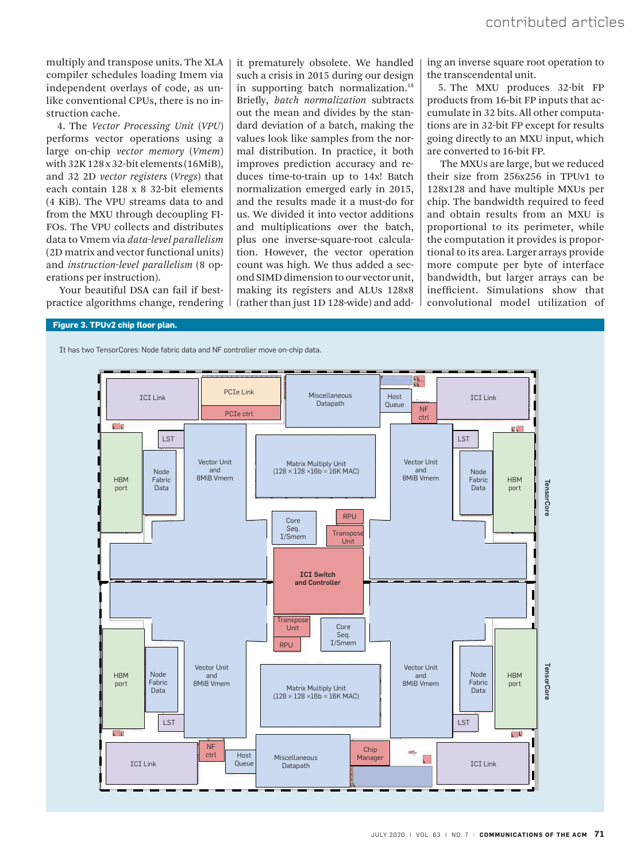multiply and transpose units. The XLA compiler schedules loading Imem via independent overlays of code, as unlike conventional CPUs, there is no instruction cache.

4. The *Vector Processing Unit* (*VPU*) performs vector operations using a large on-chip *vector memory* (*Vmem*) with 32K 128 x 32-bit elements (16MiB), and 32 2D *vector registers* (*Vregs*) that each contain 128 x 8 32-bit elements (4 KiB). The VPU streams data to and from the MXU through decoupling FI-FOs. The VPU collects and distributes data to Vmem via *data-level parallelism*  (2D matrix and vector functional units) and *instruction-level parallelism* (8 operations per instruction).

Your beautiful DSA can fail if bestpractice algorithms change, rendering

it prematurely obsolete. We handled such a crisis in 2015 during our design in supporting batch normalization.<sup>18</sup> Briefly, *batch normalization* subtracts out the mean and divides by the standard deviation of a batch, making the values look like samples from the normal distribution. In practice, it both improves prediction accuracy and reduces time-to-train up to 14x! Batch normalization emerged early in 2015, and the results made it a must-do for us. We divided it into vector additions and multiplications over the batch, plus one inverse-square-root calculation. However, the vector operation count was high. We thus added a second SIMD dimension to our vector unit, making its registers and ALUs 128x8 (rather than just 1D 128-wide) and adding an inverse square root operation to the transcendental unit.

5. The MXU produces 32-bit FP products from 16-bit FP inputs that accumulate in 32 bits. All other computations are in 32-bit FP except for results going directly to an MXU input, which are converted to 16-bit FP.

The MXUs are large, but we reduced their size from 256x256 in TPUv1 to 128x128 and have multiple MXUs per chip. The bandwidth required to feed and obtain results from an MXU is proportional to its perimeter, while the computation it provides is proportional to its area. Larger arrays provide more compute per byte of interface bandwidth, but larger arrays can be inefficient. Simulations show that convolutional model utilization of

## **Figure 3. TPUv2 chip floor plan.**

It has two TensorCores: Node fabric data and NF controller move on-chip data.

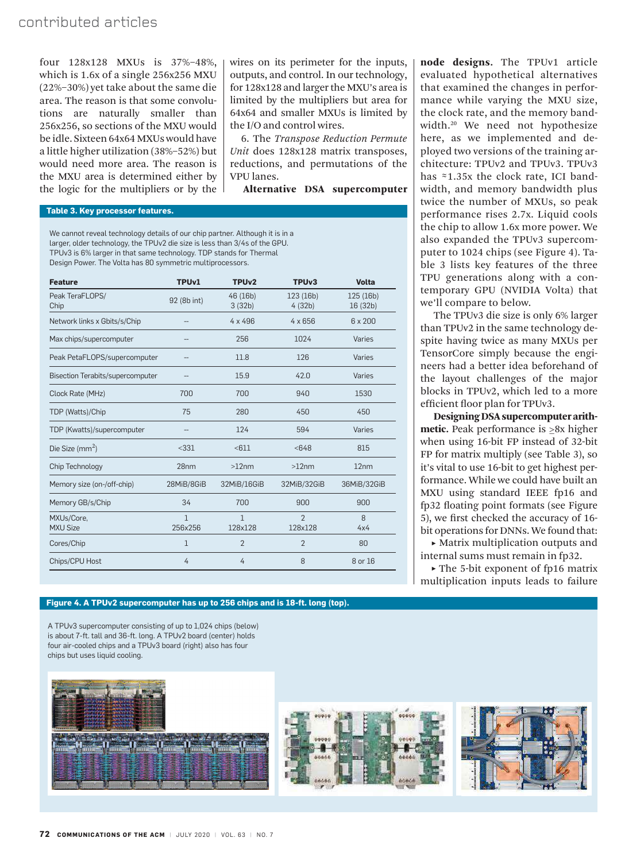## contributed articles

four 128x128 MXUs is 37%–48%, which is 1.6x of a single 256x256 MXU (22%–30%) yet take about the same die area. The reason is that some convolutions are naturally smaller than 256x256, so sections of the MXU would be idle. Sixteen 64x64 MXUs would have a little higher utilization (38%–52%) but would need more area. The reason is the MXU area is determined either by the logic for the multipliers or by the wires on its perimeter for the inputs, outputs, and control. In our technology, for 128x128 and larger the MXU's area is limited by the multipliers but area for 64x64 and smaller MXUs is limited by the I/O and control wires.

6. The *Transpose Reduction Permute Unit* does 128x128 matrix transposes, reductions, and permutations of the VPU lanes.

Alternative DSA supercomputer

### **Table 3. Key processor features.**

We cannot reveal technology details of our chip partner. Although it is in a larger, older technology, the TPUv2 die size is less than 3/4s of the GPU. TPUv3 is 6% larger in that same technology. TDP stands for Thermal Design Power. The Volta has 80 symmetric multiprocessors.

| <b>Feature</b>                          | TPU <sub>v1</sub>       | TPU <sub>v2</sub>       | TPU <sub>v3</sub>         | <b>Volta</b>          |
|-----------------------------------------|-------------------------|-------------------------|---------------------------|-----------------------|
| Peak TeraFLOPS/<br>Chip                 | 92 (8b int)             | 46(16b)<br>3(32b)       | 123 (16b)<br>4(32b)       | 125 (16b)<br>16 (32b) |
| Network links x Gbits/s/Chip            |                         | $4 \times 496$          | $4 \times 656$            | $6 \times 200$        |
| Max chips/supercomputer                 |                         | 256                     | 1024                      | Varies                |
| Peak PetaFLOPS/supercomputer            |                         | 11.8                    | 126                       | Varies                |
| <b>Bisection Terabits/supercomputer</b> |                         | 15.9                    | 42.0                      | Varies                |
| Clock Rate (MHz)                        | 700                     | 700                     | 940                       | 1530                  |
| TDP (Watts)/Chip                        | 75                      | 280                     | 450                       | 450                   |
| TDP (Kwatts)/supercomputer              | --                      | 124                     | 594                       | Varies                |
| Die Size ( $mm2$ )                      | < 331                   | < 611                   | < 648                     | 815                   |
| Chip Technology                         | 28 <sub>nm</sub>        | >12nm                   | $>12$ nm                  | 12nm                  |
| Memory size (on-/off-chip)              | 28MiB/8GiB              | 32MiB/16GiB             | 32MiB/32GiB               | 36MiB/32GiB           |
| Memory GB/s/Chip                        | 34                      | 700                     | 900                       | 900                   |
| MXUs/Core.<br><b>MXU Size</b>           | $\mathbf{1}$<br>256x256 | $\mathbf{1}$<br>128x128 | $\overline{2}$<br>128x128 | 8<br>4x4              |
| Cores/Chip                              | $\mathbf{1}$            | $\overline{2}$          | $\overline{2}$            | 80                    |
| Chips/CPU Host                          | 4                       | 4                       | 8                         | 8 or 16               |

node designs. The TPUv1 article evaluated hypothetical alternatives that examined the changes in performance while varying the MXU size, the clock rate, and the memory bandwidth.<sup>20</sup> We need not hypothesize here, as we implemented and deployed two versions of the training architecture: TPUv2 and TPUv3. TPUv3 has ≈1.35x the clock rate, ICI bandwidth, and memory bandwidth plus twice the number of MXUs, so peak performance rises 2.7x. Liquid cools the chip to allow 1.6x more power. We also expanded the TPUv3 supercomputer to 1024 chips (see Figure 4). Table 3 lists key features of the three TPU generations along with a contemporary GPU (NVIDIA Volta) that we'll compare to below.

The TPUv3 die size is only 6% larger than TPUv2 in the same technology despite having twice as many MXUs per TensorCore simply because the engineers had a better idea beforehand of the layout challenges of the major blocks in TPUv2, which led to a more efficient floor plan for TPUv3.

Designing DSA supercomputer arithmetic. Peak performance is ≥8x higher when using 16-bit FP instead of 32-bit FP for matrix multiply (see Table 3), so it's vital to use 16-bit to get highest performance. While we could have built an MXU using standard IEEE fp16 and fp32 floating point formats (see Figure 5), we first checked the accuracy of 16 bit operations for DNNs. We found that:

▶ Matrix multiplication outputs and internal sums must remain in fp32.

 **˲** The 5-bit exponent of fp16 matrix multiplication inputs leads to failure

#### **Figure 4. A TPUv2 supercomputer has up to 256 chips and is 18-ft. long (top).**

A TPUv3 supercomputer consisting of up to 1,024 chips (below) is about 7-ft. tall and 36-ft. long. A TPUv2 board (center) holds four air-cooled chips and a TPUv3 board (right) also has four chips but uses liquid cooling.





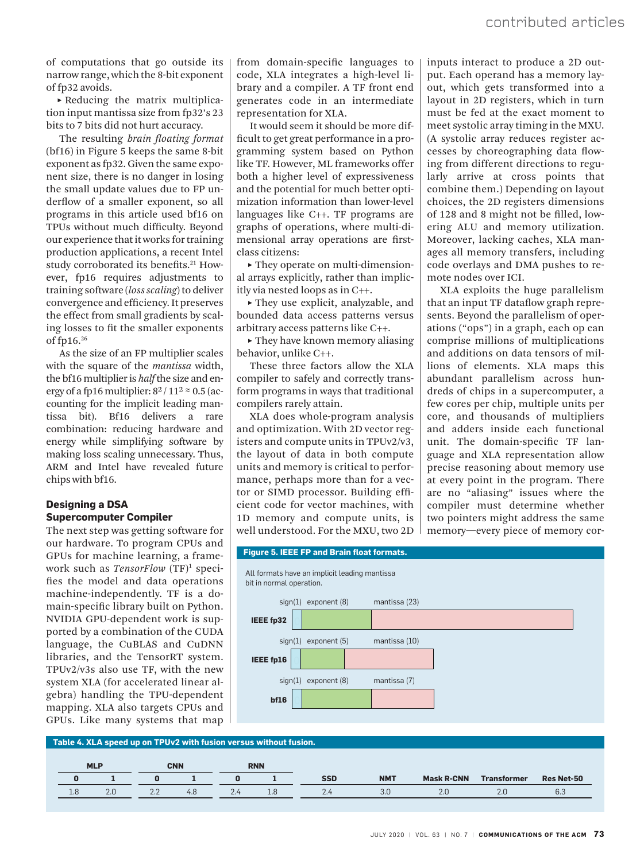of computations that go outside its narrow range, which the 8-bit exponent of fp32 avoids.

 **˲** Reducing the matrix multiplication input mantissa size from fp32's 23 bits to 7 bits did not hurt accuracy.

The resulting *brain floating format*  (bf16) in Figure 5 keeps the same 8-bit exponent as fp32. Given the same exponent size, there is no danger in losing the small update values due to FP underflow of a smaller exponent, so all programs in this article used bf16 on TPUs without much difficulty. Beyond our experience that it works for training production applications, a recent Intel study corroborated its benefits.<sup>21</sup> However, fp16 requires adjustments to training software (*loss scaling*) to deliver convergence and efficiency. It preserves the effect from small gradients by scaling losses to fit the smaller exponents of fp16.<sup>26</sup>

As the size of an FP multiplier scales with the square of the *mantissa* width, the bf16 multiplier is *half* the size and energy of a fp16 multiplier:  $8^2/11^2 \approx 0.5$  (accounting for the implicit leading mantissa bit). Bf16 delivers a rare combination: reducing hardware and energy while simplifying software by making loss scaling unnecessary. Thus, ARM and Intel have revealed future chips with bf16.

## **Designing a DSA Supercomputer Compiler**

The next step was getting software for our hardware. To program CPUs and GPUs for machine learning, a framework such as *TensorFlow* (TF)<sup>1</sup> specifies the model and data operations machine-independently. TF is a domain-specific library built on Python. NVIDIA GPU-dependent work is supported by a combination of the CUDA language, the CuBLAS and CuDNN libraries, and the TensorRT system. TPUv2/v3s also use TF, with the new system XLA (for accelerated linear algebra) handling the TPU-dependent mapping. XLA also targets CPUs and GPUs. Like many systems that map

from domain-specific languages to code, XLA integrates a high-level library and a compiler. A TF front end generates code in an intermediate representation for XLA.

It would seem it should be more difficult to get great performance in a programming system based on Python like TF. However, ML frameworks offer both a higher level of expressiveness and the potential for much better optimization information than lower-level languages like C++. TF programs are graphs of operations, where multi-dimensional array operations are firstclass citizens:

▶ They operate on multi-dimensional arrays explicitly, rather than implicitly via nested loops as in C++.

 **˲** They use explicit, analyzable, and bounded data access patterns versus arbitrary access patterns like C++.

► They have known memory aliasing behavior, unlike C++.

These three factors allow the XLA compiler to safely and correctly transform programs in ways that traditional compilers rarely attain.

XLA does whole-program analysis and optimization. With 2D vector registers and compute units in TPUv2/v3, the layout of data in both compute units and memory is critical to performance, perhaps more than for a vector or SIMD processor. Building efficient code for vector machines, with 1D memory and compute units, is well understood. For the MXU, two 2D inputs interact to produce a 2D output. Each operand has a memory layout, which gets transformed into a layout in 2D registers, which in turn must be fed at the exact moment to meet systolic array timing in the MXU. (A systolic array reduces register accesses by choreographing data flowing from different directions to regularly arrive at cross points that combine them.) Depending on layout choices, the 2D registers dimensions of 128 and 8 might not be filled, lowering ALU and memory utilization. Moreover, lacking caches, XLA manages all memory transfers, including code overlays and DMA pushes to remote nodes over ICI.

XLA exploits the huge parallelism that an input TF dataflow graph represents. Beyond the parallelism of operations ("ops") in a graph, each op can comprise millions of multiplications and additions on data tensors of millions of elements. XLA maps this abundant parallelism across hundreds of chips in a supercomputer, a few cores per chip, multiple units per core, and thousands of multipliers and adders inside each functional unit. The domain-specific TF language and XLA representation allow precise reasoning about memory use at every point in the program. There are no "aliasing" issues where the compiler must determine whether two pointers might address the same memory—every piece of memory cor-



**Table 4. XLA speed up on TPUv2 with fusion versus without fusion.** 

|     | <b>MLP</b> |                 | <b>CNN</b> |        | <b>RNN</b> |            |            |                   |                    |                   |
|-----|------------|-----------------|------------|--------|------------|------------|------------|-------------------|--------------------|-------------------|
|     |            |                 |            |        |            | <b>SSD</b> | <b>NMT</b> | <b>Mask R-CNN</b> | <b>Transformer</b> | <b>Res Net-50</b> |
| 1.8 | 2.0        | $\sim$ . $\sim$ | 4.8        | $\sim$ | 1.8        | 2.4        | 3.0        |                   | 2.0                | 6.3               |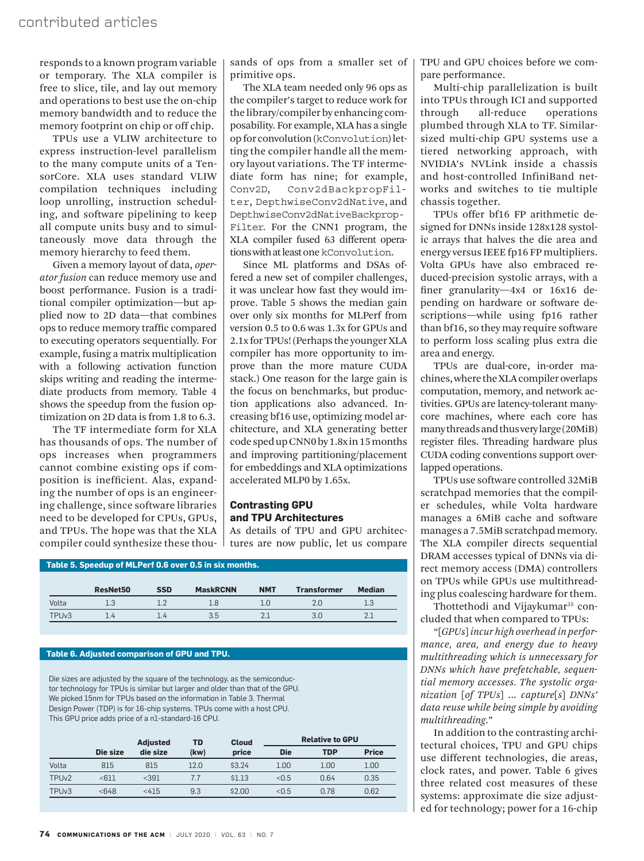responds to a known program variable or temporary. The XLA compiler is free to slice, tile, and lay out memory and operations to best use the on-chip memory bandwidth and to reduce the memory footprint on chip or off chip.

TPUs use a VLIW architecture to express instruction-level parallelism to the many compute units of a TensorCore. XLA uses standard VLIW compilation techniques including loop unrolling, instruction scheduling, and software pipelining to keep all compute units busy and to simultaneously move data through the memory hierarchy to feed them.

Given a memory layout of data, *operator fusion* can reduce memory use and boost performance. Fusion is a traditional compiler optimization—but applied now to 2D data—that combines ops to reduce memory traffic compared to executing operators sequentially. For example, fusing a matrix multiplication with a following activation function skips writing and reading the intermediate products from memory. Table 4 shows the speedup from the fusion optimization on 2D data is from 1.8 to 6.3.

The TF intermediate form for XLA has thousands of ops. The number of ops increases when programmers cannot combine existing ops if composition is inefficient. Alas, expanding the number of ops is an engineering challenge, since software libraries need to be developed for CPUs, GPUs, and TPUs. The hope was that the XLA compiler could synthesize these thousands of ops from a smaller set of primitive ops.

The XLA team needed only 96 ops as the compiler's target to reduce work for the library/compiler by enhancing composability. For example, XLA has a single op for convolution (kConvolution) letting the compiler handle all the memory layout variations. The TF intermediate form has nine; for example, Conv2D, Conv2dBackpropFilter, DepthwiseConv2dNative, and DepthwiseConv2dNativeBackprop-Filter. For the CNN1 program, the XLA compiler fused 63 different operations with at least one kConvolution.

Since ML platforms and DSAs offered a new set of compiler challenges, it was unclear how fast they would improve. Table 5 shows the median gain over only six months for MLPerf from version 0.5 to 0.6 was 1.3x for GPUs and 2.1x for TPUs! (Perhaps the younger XLA compiler has more opportunity to improve than the more mature CUDA stack.) One reason for the large gain is the focus on benchmarks, but production applications also advanced. Increasing bf16 use, optimizing model architecture, and XLA generating better code sped up CNN0 by 1.8x in 15 months and improving partitioning/placement for embeddings and XLA optimizations accelerated MLP0 by 1.65x.

## **Contrasting GPU and TPU Architectures**

As details of TPU and GPU architectures are now public, let us compare

|       |          |            | Table 5. Speedup of MLPerf 0.6 over 0.5 in six months. |            |                    |               |
|-------|----------|------------|--------------------------------------------------------|------------|--------------------|---------------|
|       | ResNet50 | <b>SSD</b> | <b>MaskRCNN</b>                                        | <b>NMT</b> | <b>Transformer</b> | <b>Median</b> |
| Volta | 1.3      |            | 18                                                     | ח ו        | 2.0                |               |

TPUv3 1.4 1.4 3.5 2.1 3.0 2.1

## **Table 6. Adjusted comparison of GPU and TPU.**

Die sizes are adjusted by the square of the technology, as the semiconductor technology for TPUs is similar but larger and older than that of the GPU. We picked 15nm for TPUs based on the information in Table 3. Thermal Design Power (TDP) is for 16-chip systems. TPUs come with a host CPU. This GPU price adds price of a n1-standard-16 CPU.

|                   |          | <b>Adjusted</b> | TD   | <b>Cloud</b> | <b>Relative to GPU</b> |            |              |
|-------------------|----------|-----------------|------|--------------|------------------------|------------|--------------|
|                   | Die size | die size        | (kw) | price        | <b>Die</b>             | <b>TDP</b> | <b>Price</b> |
| Volta             | 815      | 815             | 12.0 | \$3.24       | 1.00                   | 1.00       | 1.00         |
| TPU <sub>v2</sub> | $611$    | < 391           | 7.7  | \$1.13       | < 0.5                  | 0.64       | 0.35         |
| TPU <sub>v3</sub> | < 648    | < 415           | 9.3  | \$2.00       | < 0.5                  | 0.78       | 0.62         |
|                   |          |                 |      |              |                        |            |              |

TPU and GPU choices before we compare performance.

Multi-chip parallelization is built into TPUs through ICI and supported through all-reduce operations plumbed through XLA to TF. Similarsized multi-chip GPU systems use a tiered networking approach, with NVIDIA's NVLink inside a chassis and host-controlled InfiniBand networks and switches to tie multiple chassis together.

TPUs offer bf16 FP arithmetic designed for DNNs inside 128x128 systolic arrays that halves the die area and energy versus IEEE fp16 FP multipliers. Volta GPUs have also embraced reduced-precision systolic arrays, with a finer granularity—4x4 or 16x16 depending on hardware or software descriptions—while using fp16 rather than bf16, so they may require software to perform loss scaling plus extra die area and energy.

TPUs are dual-core, in-order machines, where the XLA compiler overlaps computation, memory, and network activities. GPUs are latency-tolerant manycore machines, where each core has many threads and thus very large (20MiB) register files. Threading hardware plus CUDA coding conventions support overlapped operations.

TPUs use software controlled 32MiB scratchpad memories that the compiler schedules, while Volta hardware manages a 6MiB cache and software manages a 7.5MiB scratchpad memory. The XLA compiler directs sequential DRAM accesses typical of DNNs via direct memory access (DMA) controllers on TPUs while GPUs use multithreading plus coalescing hardware for them.

Thottethodi and Vijaykumar<sup>35</sup> concluded that when compared to TPUs:

"[*GPUs*] *incur high overhead in performance, area, and energy due to heavy multithreading which is unnecessary for DNNs which have prefetchable, sequential memory accesses. The systolic organization* [*of TPUs*] ... *capture*[*s*] *DNNs' data reuse while being simple by avoiding multithreading*."

In addition to the contrasting architectural choices, TPU and GPU chips use different technologies, die areas, clock rates, and power. Table 6 gives three related cost measures of these systems: approximate die size adjusted for technology; power for a 16-chip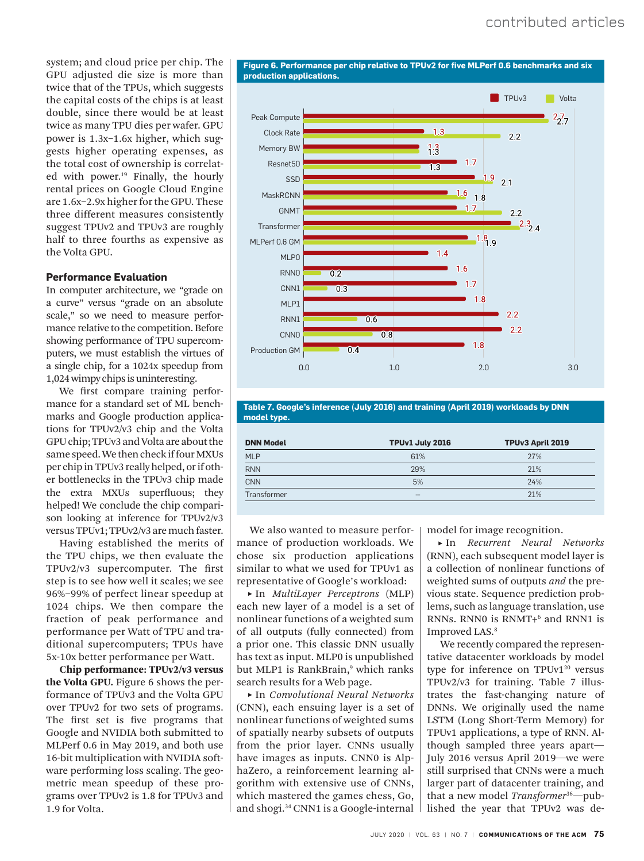system; and cloud price per chip. The GPU adjusted die size is more than twice that of the TPUs, which suggests the capital costs of the chips is at least double, since there would be at least twice as many TPU dies per wafer. GPU power is 1.3x–1.6x higher, which suggests higher operating expenses, as the total cost of ownership is correlated with power.<sup>19</sup> Finally, the hourly rental prices on Google Cloud Engine are 1.6x–2.9x higher for the GPU. These three different measures consistently suggest TPUv2 and TPUv3 are roughly half to three fourths as expensive as the Volta GPU.

## **Performance Evaluation**

In computer architecture, we "grade on a curve" versus "grade on an absolute scale," so we need to measure performance relative to the competition. Before showing performance of TPU supercomputers, we must establish the virtues of a single chip, for a 1024x speedup from 1,024 wimpy chips is uninteresting.

We first compare training performance for a standard set of ML benchmarks and Google production applications for TPUv2/v3 chip and the Volta GPU chip; TPUv3 and Volta are about the same speed. We then check if four MXUs per chip in TPUv3 really helped, or if other bottlenecks in the TPUv3 chip made the extra MXUs superfluous; they helped! We conclude the chip comparison looking at inference for TPUv2/v3 versus TPUv1; TPUv2/v3 are much faster.

Having established the merits of the TPU chips, we then evaluate the TPUv2/v3 supercomputer. The first step is to see how well it scales; we see 96%–99% of perfect linear speedup at 1024 chips. We then compare the fraction of peak performance and performance per Watt of TPU and traditional supercomputers; TPUs have 5x-10x better performance per Watt.

Chip performance: TPUv2/v3 versus the Volta GPU. Figure 6 shows the performance of TPUv3 and the Volta GPU over TPUv2 for two sets of programs. The first set is five programs that Google and NVIDIA both submitted to MLPerf 0.6 in May 2019, and both use 16-bit multiplication with NVIDIA software performing loss scaling. The geometric mean speedup of these programs over TPUv2 is 1.8 for TPUv3 and 1.9 for Volta.

**Figure 6. Performance per chip relative to TPUv2 for five MLPerf 0.6 benchmarks and six production applications.**



**Table 7. Google's inference (July 2016) and training (April 2019) workloads by DNN model type.** 

| <b>DNN Model</b> | TPUv1 July 2016 | TPUv3 April 2019 |
|------------------|-----------------|------------------|
| <b>MLP</b>       | 61%             | 27%              |
| <b>RNN</b>       | 29%             | 21%              |
| <b>CNN</b>       | 5%              | 24%              |
| Transformer      | $- -$           | 21%              |

We also wanted to measure performance of production workloads. We chose six production applications similar to what we used for TPUv1 as representative of Google's workload:

 **˲** In *MultiLayer Perceptrons* (MLP) each new layer of a model is a set of nonlinear functions of a weighted sum of all outputs (fully connected) from a prior one. This classic DNN usually has text as input. MLP0 is unpublished but MLP1 is RankBrain,<sup>9</sup> which ranks search results for a Web page.

 **˲** In *Convolutional Neural Networks*  (CNN), each ensuing layer is a set of nonlinear functions of weighted sums of spatially nearby subsets of outputs from the prior layer. CNNs usually have images as inputs. CNN0 is AlphaZero, a reinforcement learning algorithm with extensive use of CNNs, which mastered the games chess, Go, and shogi.<sup>34</sup> CNN1 is a Google-internal model for image recognition.

 **˲** In *Recurrent Neural Networks*  (RNN), each subsequent model layer is a collection of nonlinear functions of weighted sums of outputs *and* the previous state. Sequence prediction problems, such as language translation, use RNNs. RNN0 is RNMT+<sup>6</sup> and RNN1 is Improved LAS.<sup>8</sup>

We recently compared the representative datacenter workloads by model type for inference on  $TPUv1^{20}$  versus TPUv2/v3 for training. Table 7 illustrates the fast-changing nature of DNNs. We originally used the name LSTM (Long Short-Term Memory) for TPUv1 applications, a type of RNN. Although sampled three years apart— July 2016 versus April 2019—we were still surprised that CNNs were a much larger part of datacenter training, and that a new model *Transformer*36—published the year that TPUv2 was de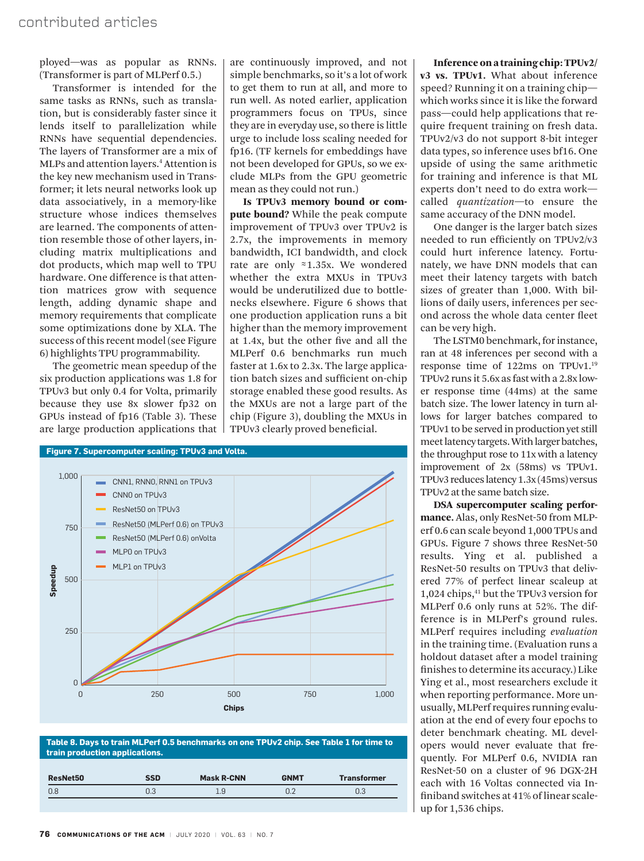ployed—was as popular as RNNs. (Transformer is part of MLPerf 0.5.)

Transformer is intended for the same tasks as RNNs, such as translation, but is considerably faster since it lends itself to parallelization while RNNs have sequential dependencies. The layers of Transformer are a mix of MLPs and attention layers.<sup>4</sup> Attention is the key new mechanism used in Transformer; it lets neural networks look up data associatively, in a memory-like structure whose indices themselves are learned. The components of attention resemble those of other layers, including matrix multiplications and dot products, which map well to TPU hardware. One difference is that attention matrices grow with sequence length, adding dynamic shape and memory requirements that complicate some optimizations done by XLA. The success of this recent model (see Figure 6) highlights TPU programmability.

The geometric mean speedup of the six production applications was 1.8 for TPUv3 but only 0.4 for Volta, primarily because they use 8x slower fp32 on GPUs instead of fp16 (Table 3). These are large production applications that

are continuously improved, and not simple benchmarks, so it's a lot of work to get them to run at all, and more to run well. As noted earlier, application programmers focus on TPUs, since they are in everyday use, so there is little urge to include loss scaling needed for fp16. (TF kernels for embeddings have not been developed for GPUs, so we exclude MLPs from the GPU geometric mean as they could not run.)

Is TPUv3 memory bound or compute bound? While the peak compute improvement of TPUv3 over TPUv2 is 2.7x, the improvements in memory bandwidth, ICI bandwidth, and clock rate are only ≈1.35x. We wondered whether the extra MXUs in TPUv3 would be underutilized due to bottlenecks elsewhere. Figure 6 shows that one production application runs a bit higher than the memory improvement at 1.4x, but the other five and all the MLPerf 0.6 benchmarks run much faster at 1.6x to 2.3x. The large application batch sizes and sufficient on-chip storage enabled these good results. As the MXUs are not a large part of the chip (Figure 3), doubling the MXUs in TPUv3 clearly proved beneficial.



**Table 8. Days to train MLPerf 0.5 benchmarks on one TPUv2 chip. See Table 1 for time to train production applications.**

| 0.8<br>0.3<br>. a | <b>ResNet50</b> | SSD | <b>Mask R-CNN</b> | <b>GNMT</b> | <b>Transformer</b> |
|-------------------|-----------------|-----|-------------------|-------------|--------------------|
|                   |                 |     |                   |             | ∪.∪                |

Inference on a training chip: TPUv2/ v3 vs. TPUv1. What about inference speed? Running it on a training chip which works since it is like the forward pass—could help applications that require frequent training on fresh data. TPUv2/v3 do not support 8-bit integer data types, so inference uses bf16. One upside of using the same arithmetic for training and inference is that ML experts don't need to do extra work called *quantization*—to ensure the same accuracy of the DNN model.

One danger is the larger batch sizes needed to run efficiently on TPUv2/v3 could hurt inference latency. Fortunately, we have DNN models that can meet their latency targets with batch sizes of greater than 1,000. With billions of daily users, inferences per second across the whole data center fleet can be very high.

The LSTM0 benchmark, for instance, ran at 48 inferences per second with a response time of 122ms on TPUv1.<sup>19</sup> TPUv2 runs it 5.6x as fast with a 2.8x lower response time (44ms) at the same batch size. The lower latency in turn allows for larger batches compared to TPUv1 to be served in production yet still meet latency targets. With larger batches, the throughput rose to 11x with a latency improvement of 2x (58ms) vs TPUv1. TPUv3 reduces latency 1.3x (45ms) versus TPUv2 at the same batch size.

DSA supercomputer scaling performance. Alas, only ResNet-50 from MLPerf 0.6 can scale beyond 1,000 TPUs and GPUs. Figure 7 shows three ResNet-50 results. Ying et al. published a ResNet-50 results on TPUv3 that delivered 77% of perfect linear scaleup at 1,024 chips, <sup>41</sup> but the TPUv3 version for MLPerf 0.6 only runs at 52%. The difference is in MLPerf's ground rules. MLPerf requires including *evaluation* in the training time. (Evaluation runs a holdout dataset after a model training finishes to determine its accuracy.) Like Ying et al., most researchers exclude it when reporting performance. More unusually, MLPerf requires running evaluation at the end of every four epochs to deter benchmark cheating. ML developers would never evaluate that frequently. For MLPerf 0.6, NVIDIA ran ResNet-50 on a cluster of 96 DGX-2H each with 16 Voltas connected via Infiniband switches at 41% of linear scaleup for 1,536 chips.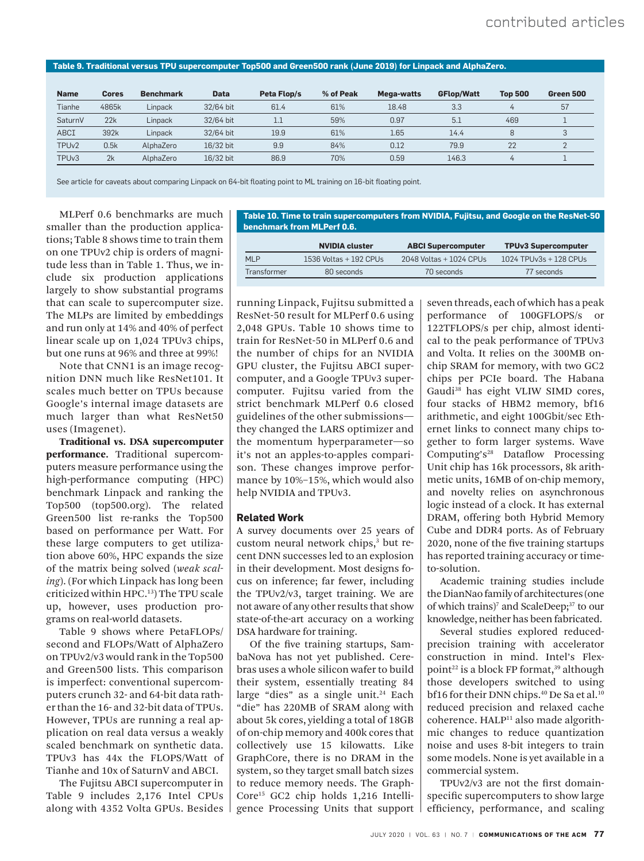## **Table 9. Traditional versus TPU supercomputer Top500 and Green500 rank (June 2019) for Linpack and AlphaZero.**

| <b>Name</b>       | <b>Cores</b> | <b>Benchmark</b> | <b>Data</b> | Peta Flop/s | % of Peak | Mega-watts | <b>GFlop/Watt</b> | <b>Top 500</b> | Green 500 |
|-------------------|--------------|------------------|-------------|-------------|-----------|------------|-------------------|----------------|-----------|
| Tianhe            | 4865k        | Linpack          | 32/64 bit   | 61.4        | 61%       | 18.48      | 3.3               |                | 57        |
| SaturnV           | 22k          | Linpack          | 32/64 bit   |             | 59%       | 0.97       | 5.1               | 469            |           |
| ABCI              | 392k         | Linpack          | 32/64 bit   | 19.9        | 61%       | 1.65       | 14.4              | 8              | 3         |
| TPU <sub>v2</sub> | 0.5k         | AlphaZero        | 16/32 bit   | 9.9         | 84%       | 0.12       | 79.9              | 22             |           |
| TPU <sub>v3</sub> | 2k           | AlphaZero        | 16/32 bit   | 86.9        | 70%       | 0.59       | 146.3             |                |           |

**benchmark from MLPerf 0.6.**

See article for caveats about comparing Linpack on 64-bit floating point to ML training on 16-bit floating point.

MLPerf 0.6 benchmarks are much smaller than the production applications; Table 8 shows time to train them on one TPUv2 chip is orders of magnitude less than in Table 1. Thus, we include six production applications largely to show substantial programs that can scale to supercomputer size. The MLPs are limited by embeddings and run only at 14% and 40% of perfect linear scale up on 1,024 TPUv3 chips, but one runs at 96% and three at 99%!

Note that CNN1 is an image recognition DNN much like ResNet101. It scales much better on TPUs because Google's internal image datasets are much larger than what ResNet50 uses (Imagenet).

Traditional vs. DSA supercomputer performance. Traditional supercomputers measure performance using the high-performance computing (HPC) benchmark Linpack and ranking the Top500 (top500.org). The related Green500 list re-ranks the Top500 based on performance per Watt. For these large computers to get utilization above 60%, HPC expands the size of the matrix being solved (*weak scaling*). (For which Linpack has long been criticized within HPC.<sup>13</sup>) The TPU scale up, however, uses production programs on real-world datasets.

Table 9 shows where PetaFLOPs/ second and FLOPs/Watt of AlphaZero on TPUv2/v3 would rank in the Top500 and Green500 lists. This comparison is imperfect: conventional supercomputers crunch 32- and 64-bit data rather than the 16- and 32-bit data of TPUs. However, TPUs are running a real application on real data versus a weakly scaled benchmark on synthetic data. TPUv3 has 44x the FLOPS/Watt of Tianhe and 10x of SaturnV and ABCI.

The Fujitsu ABCI supercomputer in Table 9 includes 2,176 Intel CPUs along with 4352 Volta GPUs. Besides

running Linpack, Fujitsu submitted a ResNet-50 result for MLPerf 0.6 using 2,048 GPUs. Table 10 shows time to train for ResNet-50 in MLPerf 0.6 and the number of chips for an NVIDIA GPU cluster, the Fujitsu ABCI supercomputer, and a Google TPUv3 supercomputer. Fujitsu varied from the strict benchmark MLPerf 0.6 closed guidelines of the other submissions they changed the LARS optimizer and the momentum hyperparameter—so it's not an apples-to-apples comparison. These changes improve performance by 10%–15%, which would also help NVIDIA and TPUv3.

## **Related Work**

A survey documents over 25 years of custom neural network chips,<sup>3</sup> but recent DNN successes led to an explosion in their development. Most designs focus on inference; far fewer, including the TPUv2/v3, target training. We are not aware of any other results that show state-of-the-art accuracy on a working DSA hardware for training.

Of the five training startups, SambaNova has not yet published. Cerebras uses a whole silicon wafer to build their system, essentially treating 84 large "dies" as a single unit.<sup>24</sup> Each "die" has 220MB of SRAM along with about 5k cores, yielding a total of 18GB of on-chip memory and 400k cores that collectively use 15 kilowatts. Like GraphCore, there is no DRAM in the system, so they target small batch sizes to reduce memory needs. The Graph-Core15 GC2 chip holds 1,216 Intelligence Processing Units that support seven threads, each of which has a peak performance of 100GFLOPS/s or 122TFLOPS/s per chip, almost identical to the peak performance of TPUv3 and Volta. It relies on the 300MB onchip SRAM for memory, with two GC2 chips per PCIe board. The Habana Gaudi<sup>38</sup> has eight VLIW SIMD cores, four stacks of HBM2 memory, bf16 arithmetic, and eight 100Gbit/sec Ethernet links to connect many chips together to form larger systems. Wave Computing's<sup>28</sup> Dataflow Processing Unit chip has 16k processors, 8k arithmetic units, 16MB of on-chip memory, and novelty relies on asynchronous logic instead of a clock. It has external DRAM, offering both Hybrid Memory Cube and DDR4 ports. As of February 2020, none of the five training startups has reported training accuracy or timeto-solution.

Academic training studies include the DianNao family of architectures (one of which trains)<sup>7</sup> and ScaleDeep;<sup>37</sup> to our knowledge, neither has been fabricated.

Several studies explored reducedprecision training with accelerator construction in mind. Intel's Flexpoint<sup>22</sup> is a block FP format,<sup>39</sup> although those developers switched to using bf16 for their DNN chips.<sup>40</sup> De Sa et al.<sup>10</sup> reduced precision and relaxed cache coherence. HALP<sup>11</sup> also made algorithmic changes to reduce quantization noise and uses 8-bit integers to train some models. None is yet available in a commercial system.

TPUv2/v3 are not the first domainspecific supercomputers to show large efficiency, performance, and scaling

**NVIDIA cluster ABCI Supercomputer TPUv3 Supercomputer** MLP 1536 Voltas + 192 CPUs 2048 Voltas + 1024 CPUs 1024 TPUv3s + 128 CPUs Transformer 80 seconds 70 seconds 70 seconds 77 seconds

**Table 10. Time to train supercomputers from NVIDIA, Fujitsu, and Google on the ResNet-50**